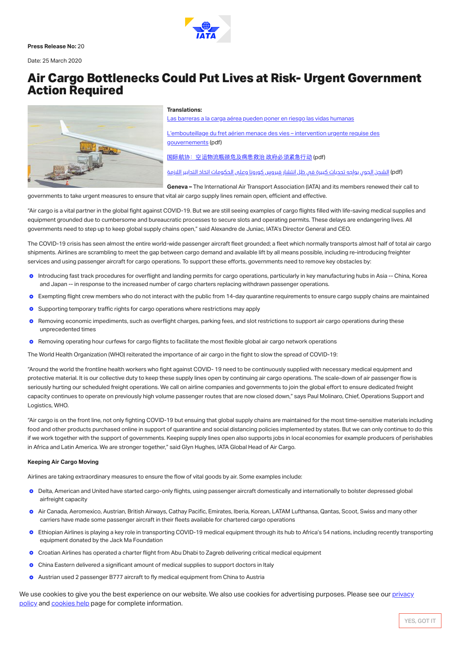Press Release No: 20

Date: 25 March 2020

# Air Cargo Bottlenecks Could Put Lives at Risk- Urgent Government Action Required



#### Translations:

Las barreras a la carga aérea pueden poner en riesgo las vidas [humanas](https://www.iata.org/contentassets/3b9a18acc6634da7ae814cdf640a75fa/2020-03-25-01-sp.pdf)

[L'embouteillage](https://www.iata.org/contentassets/3b9a18acc6634da7ae814cdf640a75fa/2020-03-25-01-fr.pdf) du fret aérien menace des vies – intervention urgente requise des gouvernements (pdf)

[国际航协:空运物流瓶颈危及病患救治](https://www.iata.org/contentassets/3b9a18acc6634da7ae814cdf640a75fa/2020-03-25-01-cn.pdf) 政府必须紧急行动 (pdf)

(pdf (الشحن الجوي يواجه تحديات كبيرة في ظل انتشار فيروس كورونا وعلى [الحكومات](https://www.iata.org/contentassets/3b9a18acc6634da7ae814cdf640a75fa/2020-03-25-01-ar.pdf) اتخاذ التدابير اللازمة

Geneva – The International Air Transport Association (IATA) and its members renewed their call to governments to take urgent measures to ensure that vital air cargo supply lines remain open, efficient and effective.

"Air cargo is a vital partner in the global fight against COVID-19. But we are still seeing examples of cargo flights filled with life-saving medical supplies and equipment grounded due to cumbersome and bureaucratic processes to secure slots and operating permits. These delays are endangering lives. All governments need to step up to keep global supply chains open," said Alexandre de Juniac, IATA's Director General and CEO.

The COVID-19 crisis has seen almost the entire world-wide passenger aircraft fleet grounded; a fleet which normally transports almost half of total air cargo shipments. Airlines are scrambling to meet the gap between cargo demand and available lift by all means possible, including re-introducing freighter services and using passenger aircraft for cargo operations. To support these efforts, governments need to remove key obstacles by:

- **O** Introducing fast track procedures for overflight and landing permits for cargo operations, particularly in key manufacturing hubs in Asia -- China, Korea and Japan -- in response to the increased number of cargo charters replacing withdrawn passenger operations.
- **O** Exempting flight crew members who do not interact with the public from 14-day quarantine requirements to ensure cargo supply chains are maintained
- $\bullet$ Supporting temporary traffic rights for cargo operations where restrictions may apply
- **O** Removing economic impediments, such as overflight charges, parking fees, and slot restrictions to support air cargo operations during these unprecedented times
- **O** Removing operating hour curfews for cargo flights to facilitate the most flexible global air cargo network operations

The World Health Organization (WHO) reiterated the importance of air cargo in the fight to slow the spread of COVID-19:

"Around the world the frontline health workers who fight against COVID-19 need to be continuously supplied with necessary medical equipment and protective material. It is our collective duty to keep these supply lines open by continuing air cargo operations. The scale-down of air passenger flow is seriously hurting our scheduled freight operations. We call on airline companies and governments to join the global effort to ensure dedicated freight capacity continues to operate on previously high volume passenger routes that are now closed down," says Paul Molinaro, Chief, Operations Support and Logistics, WHO.

"Air cargo is on the front line, not only fighting COVID-19 but ensuing that global supply chains are maintained for the most time-sensitive materials including food and other products purchased online in support of quarantine and social distancing policies implemented by states. But we can only continue to do this if we work together with the support of governments. Keeping supply lines open also supports jobs in local economies for example producers of perishables in Africa and Latin America. We are stronger together," said Glyn Hughes, IATA Global Head of Air Cargo.

- airfreight capacity
- **O** Air Canada, Aeromexico, Austrian, British Airways, Cathay Pacific, Emirates, Iberia, Korean, LATAM Lufthansa, Qantas, Scoot, Swiss and many other carriers have made some passenger aircraft in their fleets available for chartered cargo operations
- **O** Ethiopian Airlines is playing a key role in transporting COVID-19 medical equipment through its hub to Africa's 54 nations, including recently transporting equipment donated by the Jack Ma Foundation
- **O** Croatian Airlines has operated a charter flight from Abu Dhabi to Zagreb delivering critical medical equipment
- **O** China Eastern delivered a significant amount of medical supplies to support doctors in Italy
- **O** Austrian used 2 passenger B777 aircraft to fly medical equipment from China to Austria

Airlink, a nonprot organization working with aviation and logistics partners to transport relief workers and emergency supplies have transported 16,127 We use cookies to give you the best experience on our website. We also use cookies for advertising purposes. Please see our <u>privacy</u> policy and [cookies](https://www.iata.org/en/privacy/cookies/) help page for complete [information.](https://www.iata.org/en/privacy/)

# Keeping Air Cargo Moving

Airlines are taking extraordinary measures to ensure the flow of vital goods by air. Some examples include:

o Delta, American and United have started cargo-only flights, using passenger aircraft domestically and internationally to bolster depressed global



YES, GOT IT